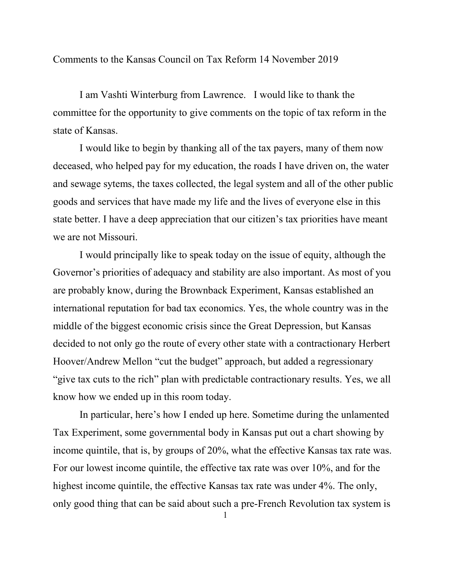Comments to the Kansas Council on Tax Reform 14 November 2019

 I am Vashti Winterburg from Lawrence. I would like to thank the committee for the opportunity to give comments on the topic of tax reform in the state of Kansas.

 I would like to begin by thanking all of the tax payers, many of them now deceased, who helped pay for my education, the roads I have driven on, the water and sewage sytems, the taxes collected, the legal system and all of the other public goods and services that have made my life and the lives of everyone else in this state better. I have a deep appreciation that our citizen's tax priorities have meant we are not Missouri.

 I would principally like to speak today on the issue of equity, although the Governor's priorities of adequacy and stability are also important. As most of you are probably know, during the Brownback Experiment, Kansas established an international reputation for bad tax economics. Yes, the whole country was in the middle of the biggest economic crisis since the Great Depression, but Kansas decided to not only go the route of every other state with a contractionary Herbert Hoover/Andrew Mellon "cut the budget" approach, but added a regressionary "give tax cuts to the rich" plan with predictable contractionary results. Yes, we all know how we ended up in this room today.

 In particular, here's how I ended up here. Sometime during the unlamented Tax Experiment, some governmental body in Kansas put out a chart showing by income quintile, that is, by groups of 20%, what the effective Kansas tax rate was. For our lowest income quintile, the effective tax rate was over 10%, and for the highest income quintile, the effective Kansas tax rate was under 4%. The only, only good thing that can be said about such a pre-French Revolution tax system is

1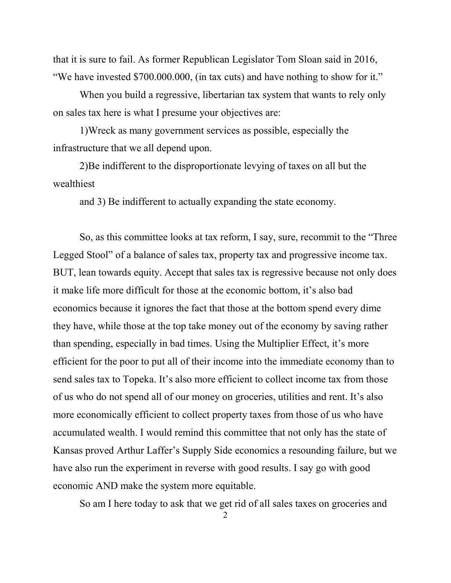that it is sure to fail. As former Republican Legislator Tom Sloan said in 2016, "We have invested \$700.000.000, (in tax cuts) and have nothing to show for it."

 When you build a regressive, libertarian tax system that wants to rely only on sales tax here is what I presume your objectives are:

 1)Wreck as many government services as possible, especially the infrastructure that we all depend upon.

 2)Be indifferent to the disproportionate levying of taxes on all but the wealthiest

and 3) Be indifferent to actually expanding the state economy.

 So, as this committee looks at tax reform, I say, sure, recommit to the "Three Legged Stool" of a balance of sales tax, property tax and progressive income tax. BUT, lean towards equity. Accept that sales tax is regressive because not only does it make life more difficult for those at the economic bottom, it's also bad economics because it ignores the fact that those at the bottom spend every dime they have, while those at the top take money out of the economy by saving rather than spending, especially in bad times. Using the Multiplier Effect, it's more efficient for the poor to put all of their income into the immediate economy than to send sales tax to Topeka. It's also more efficient to collect income tax from those of us who do not spend all of our money on groceries, utilities and rent. It's also more economically efficient to collect property taxes from those of us who have accumulated wealth. I would remind this committee that not only has the state of Kansas proved Arthur Laffer's Supply Side economics a resounding failure, but we have also run the experiment in reverse with good results. I say go with good economic AND make the system more equitable.

So am I here today to ask that we get rid of all sales taxes on groceries and

2